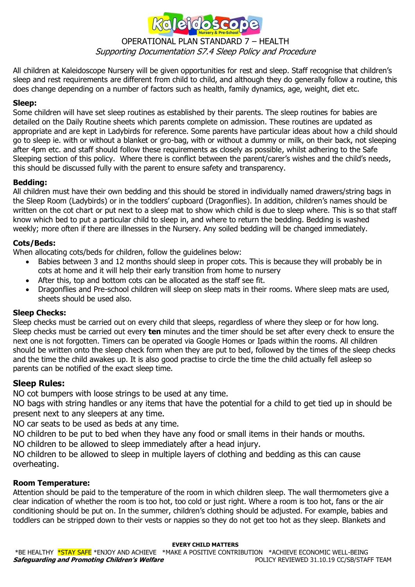

# OPERATIONAL PLAN STANDARD 7 – HEALTH Supporting Documentation S7.4 Sleep Policy and Procedure

All children at Kaleidoscope Nursery will be given opportunities for rest and sleep. Staff recognise that children's sleep and rest requirements are different from child to child, and although they do generally follow a routine, this does change depending on a number of factors such as health, family dynamics, age, weight, diet etc.

### **Sleep:**

Some children will have set sleep routines as established by their parents. The sleep routines for babies are detailed on the Daily Routine sheets which parents complete on admission. These routines are updated as appropriate and are kept in Ladybirds for reference. Some parents have particular ideas about how a child should go to sleep ie. with or without a blanket or gro-bag, with or without a dummy or milk, on their back, not sleeping after 4pm etc. and staff should follow these requirements as closely as possible, whilst adhering to the Safe Sleeping section of this policy. Where there is conflict between the parent/carer's wishes and the child's needs, this should be discussed fully with the parent to ensure safety and transparency.

### **Bedding:**

All children must have their own bedding and this should be stored in individually named drawers/string bags in the Sleep Room (Ladybirds) or in the toddlers' cupboard (Dragonflies). In addition, children's names should be written on the cot chart or put next to a sleep mat to show which child is due to sleep where. This is so that staff know which bed to put a particular child to sleep in, and where to return the bedding. Bedding is washed weekly; more often if there are illnesses in the Nursery. Any soiled bedding will be changed immediately.

### **Cots/Beds:**

When allocating cots/beds for children, follow the guidelines below:

- Babies between 3 and 12 months should sleep in proper cots. This is because they will probably be in cots at home and it will help their early transition from home to nursery
- After this, top and bottom cots can be allocated as the staff see fit.
- Dragonflies and Pre-school children will sleep on sleep mats in their rooms. Where sleep mats are used, sheets should be used also.

### **Sleep Checks:**

Sleep checks must be carried out on every child that sleeps, regardless of where they sleep or for how long. Sleep checks must be carried out every **ten** minutes and the timer should be set after every check to ensure the next one is not forgotten. Timers can be operated via Google Homes or Ipads within the rooms. All children should be written onto the sleep check form when they are put to bed, followed by the times of the sleep checks and the time the child awakes up. It is also good practise to circle the time the child actually fell asleep so parents can be notified of the exact sleep time.

### **Sleep Rules:**

NO cot bumpers with loose strings to be used at any time.

NO bags with string handles or any items that have the potential for a child to get tied up in should be present next to any sleepers at any time.

NO car seats to be used as beds at any time.

NO children to be put to bed when they have any food or small items in their hands or mouths.

NO children to be allowed to sleep immediately after a head injury.

NO children to be allowed to sleep in multiple layers of clothing and bedding as this can cause overheating.

### **Room Temperature:**

Attention should be paid to the temperature of the room in which children sleep. The wall thermometers give a clear indication of whether the room is too hot, too cold or just right. Where a room is too hot, fans or the air conditioning should be put on. In the summer, children's clothing should be adjusted. For example, babies and toddlers can be stripped down to their vests or nappies so they do not get too hot as they sleep. Blankets and

#### **EVERY CHILD MATTERS**